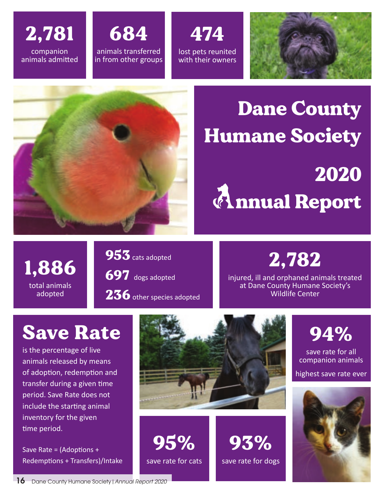



474 lost pets reunited with their owners





# Dane County Humane Society 2020 *Examual Report*

1,886 total animals adopted

953 cats adopted 697 dogs adopted 236 other species adopted

#### 2,782

injured, ill and orphaned animals treated at Dane County Humane Society's Wildlife Center

### Save Rate

is the percentage of live animals released by means of adoption, redemption and transfer during a given time period. Save Rate does not include the starting animal inventory for the given time period.

Save Rate =  $(Adoptions +$ Redemptions + Transfers)/Intake



95% save rate for cats

93% save rate for dogs



94%

save rate for all companion animals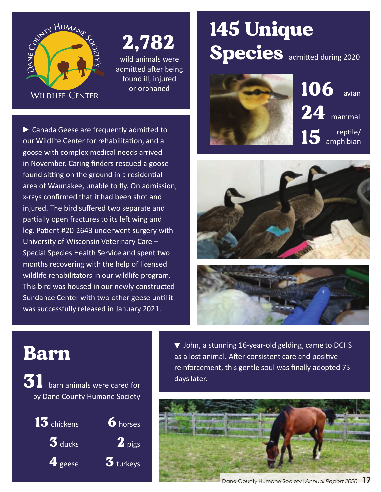

## 2,782

wild animals were admitted after being found ill, injured or orphaned

 Canada Geese are frequently admited to our Wildlife Center for rehabilitation, and a goose with complex medical needs arrived in November. Caring fnders rescued a goose found sitting on the ground in a residential area of Waunakee, unable to fy. On admission, x-rays confrmed that it had been shot and injured. The bird sufered two separate and partially open fractures to its left wing and leg. Patient #20-2643 underwent surgery with University of Wisconsin Veterinary Care – Special Species Health Service and spent two months recovering with the help of licensed wildlife rehabilitators in our wildlife program. This bird was housed in our newly constructed Sundance Center with two other geese until it was successfully released in January 2021.

## 145 Unique Species admitted during 2020







#### Barn

31 barn animals were cared for by Dane County Humane Society



 $\blacktriangledown$  John, a stunning 16-year-old gelding, came to DCHS as a lost animal. Afer consistent care and positve reinforcement, this gentle soul was fnally adopted 75 days later.

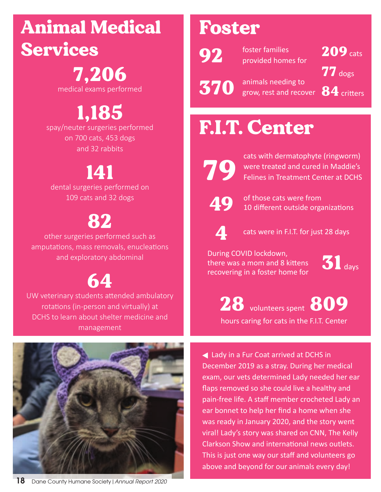#### Animal Medical Services

## 7,206

medical exams performed

## 1,185

spay/neuter surgeries performed on 700 cats, 453 dogs and 32 rabbits

#### 141

dental surgeries performed on 109 cats and 32 dogs

#### 82

other surgeries performed such as amputations, mass removals, enucleations and exploratory abdominal

## 64

UW veterinary students attended ambulatory rotations (in-person and virtually) at DCHS to learn about shelter medicine and management



#### **18** Dane County Humane Society|*Annual Report 2020*

#### Foster

92

foster families provided homes for

370 animals needing to grow, rest and recover  $\mathbf{84}$  critters

209 cats  $77$  dogs

## F.I.T. Center



cats with dermatophyte (ringworm)<br>were treated and cured in Maddie's<br>Felines in Treatment Center at DCHS were treated and cured in Maddie's Felines in Treatment Center at DCHS



49 of those cats were from<br>10 different outside organizations



cats were in F.I.T. for just 28 days

there was a mom and 8 kittens recovering in a foster home for During COVID lockdown, buting COVID lockdown,<br>there was a mom and 8 kittens  $\sum_{\text{days}}$ 



28 volunteers spent 809 hours caring for cats in the F.I.T. Center

 Lady in a Fur Coat arrived at DCHS in December 2019 as a stray. During her medical exam, our vets determined Lady needed her ear faps removed so she could live a healthy and pain-free life. A staff member crocheted Lady an ear bonnet to help her find a home when she was ready in January 2020, and the story went viral! Lady's story was shared on CNN, The Kelly Clarkson Show and international news outlets. This is just one way our staff and volunteers go above and beyond for our animals every day!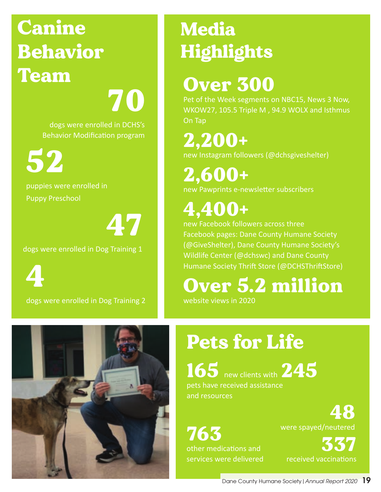## Canine Behavior Team

70

dogs were enrolled in DCHS's Behavior Modification program

52

puppies were enrolled in Puppy Preschool

47

dogs were enrolled in Dog Training 1

4

dogs were enrolled in Dog Training 2

## Media Highlights

#### Over 300

Pet of the Week segments on NBC15, News 3 Now, WKOW27, 105.5 Triple M , 94.9 WOLX and Isthmus On Tap

2,200+ new Instagram followers (@dchsgiveshelter)

2,600+ new Pawprints e-newsleter subscribers

## 4,400+

new Facebook followers across three Facebook pages: Dane County Humane Society (@GiveShelter), Dane County Humane Society's Wildlife Center (@dchswc) and Dane County Humane Society Thrift Store (@DCHSThriftStore)

#### Over 5.2 million

website views in 2020



## Pets for Life

165 new clients with 245 pets have received assistance and resources

763 other medications and services were delivered were spayed/neutered

337 received vaccinatons

48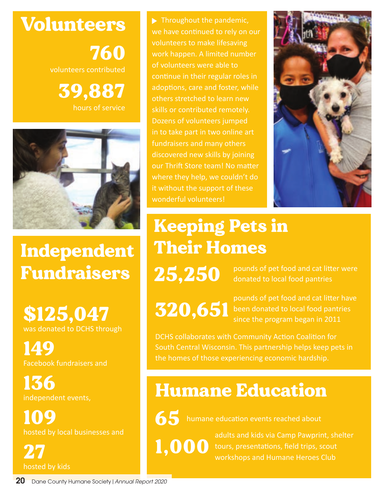Volunteers 760 volunteers contributed 39,887

hours of service



Independent Fundraisers

\$125,047 was donated to DCHS through

149 Facebook fundraisers and

136 independent events,

109 hosted by local businesses and

27 hosted by kids Throughout the pandemic, we have continued to rely on our volunteers to make lifesaving work happen. A limited number of volunteers were able to continue in their regular roles in adoptions, care and foster, while others stretched to learn new skills or contributed remotely. Dozens of volunteers jumped fundraisers and many others discovered new skills by joining our Thrift Store team! No matter where they help, we couldn't do it without the support of these wonderful volunteers!



Keeping Pets in Their Homes

 $25,250$  pounds of pet food and cat litter were donated to local food pantries

320,651

pounds of pet food and cat liter have been donated to local food pantries since the program began in 2011

DCHS collaborates with Community Action Coalition for the homes of those experiencing economic hardship.

#### Humane Education

65

humane education events reached about

1,000

adults and kids via Camp Pawprint, shelter tours, presentations, field trips, scout workshops and Humane Heroes Club